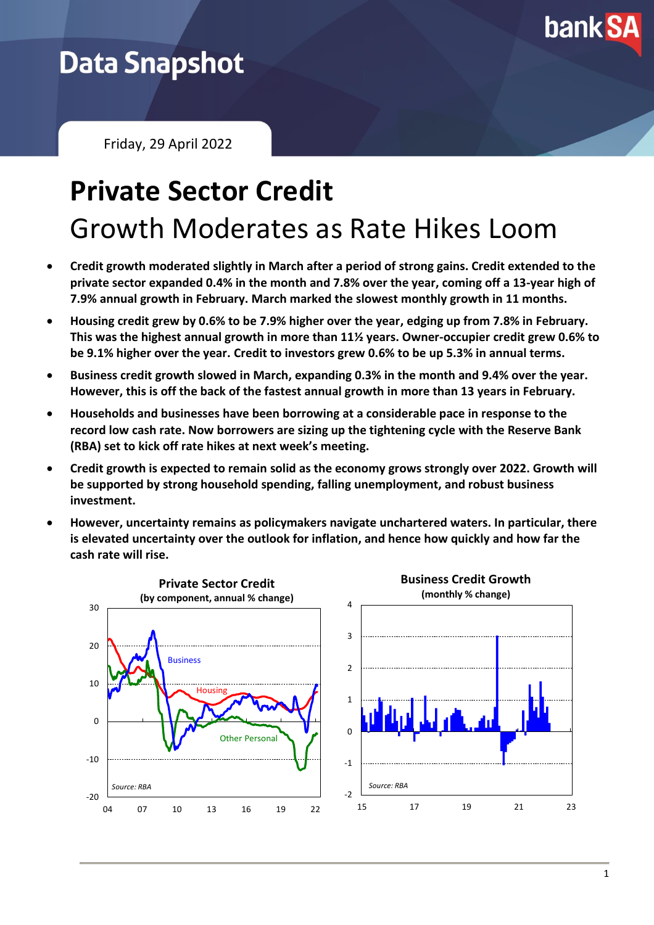

## **Data Snapshot**

Friday, 29 April 2022

# **Private Sector Credit** Growth Moderates as Rate Hikes Loom

- **Credit growth moderated slightly in March after a period of strong gains. Credit extended to the private sector expanded 0.4% in the month and 7.8% over the year, coming off a 13-year high of 7.9% annual growth in February. March marked the slowest monthly growth in 11 months.**
- **Housing credit grew by 0.6% to be 7.9% higher over the year, edging up from 7.8% in February. This was the highest annual growth in more than 11½ years. Owner-occupier credit grew 0.6% to be 9.1% higher over the year. Credit to investors grew 0.6% to be up 5.3% in annual terms.**
- **Business credit growth slowed in March, expanding 0.3% in the month and 9.4% over the year. However, this is off the back of the fastest annual growth in more than 13 years in February.**
- **Households and businesses have been borrowing at a considerable pace in response to the record low cash rate. Now borrowers are sizing up the tightening cycle with the Reserve Bank (RBA) set to kick off rate hikes at next week's meeting.**
- **Credit growth is expected to remain solid as the economy grows strongly over 2022. Growth will be supported by strong household spending, falling unemployment, and robust business investment.**
- **However, uncertainty remains as policymakers navigate unchartered waters. In particular, there is elevated uncertainty over the outlook for inflation, and hence how quickly and how far the cash rate will rise.**

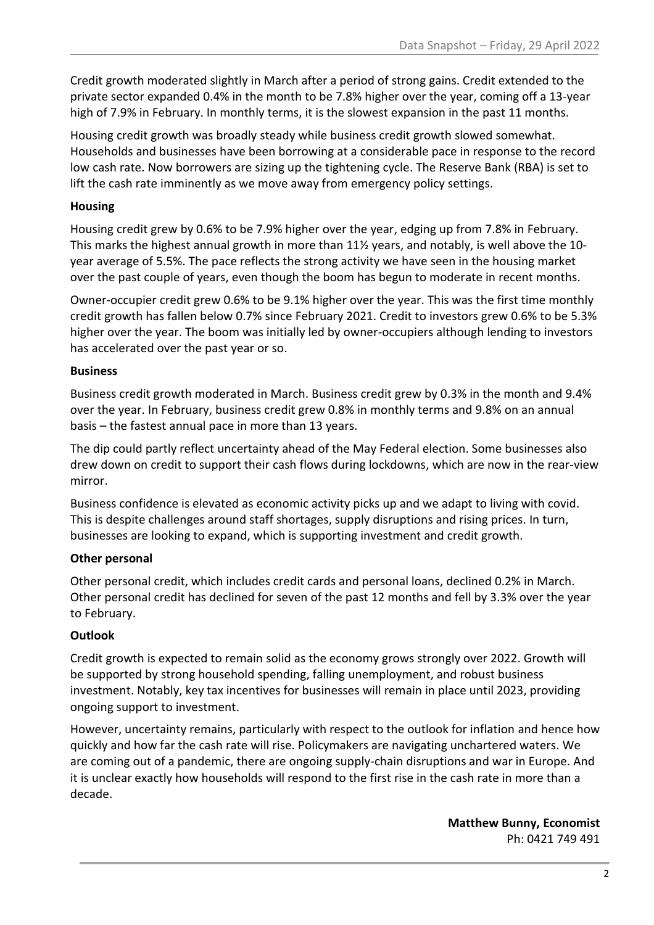Credit growth moderated slightly in March after a period of strong gains. Credit extended to the private sector expanded 0.4% in the month to be 7.8% higher over the year, coming off a 13-year high of 7.9% in February. In monthly terms, it is the slowest expansion in the past 11 months.

Housing credit growth was broadly steady while business credit growth slowed somewhat. Households and businesses have been borrowing at a considerable pace in response to the record low cash rate. Now borrowers are sizing up the tightening cycle. The Reserve Bank (RBA) is set to lift the cash rate imminently as we move away from emergency policy settings.

#### **Housing**

Housing credit grew by 0.6% to be 7.9% higher over the year, edging up from 7.8% in February. This marks the highest annual growth in more than 11½ years, and notably, is well above the 10 year average of 5.5%. The pace reflects the strong activity we have seen in the housing market over the past couple of years, even though the boom has begun to moderate in recent months.

Owner-occupier credit grew 0.6% to be 9.1% higher over the year. This was the first time monthly credit growth has fallen below 0.7% since February 2021. Credit to investors grew 0.6% to be 5.3% higher over the year. The boom was initially led by owner-occupiers although lending to investors has accelerated over the past year or so.

#### **Business**

Business credit growth moderated in March. Business credit grew by 0.3% in the month and 9.4% over the year. In February, business credit grew 0.8% in monthly terms and 9.8% on an annual basis – the fastest annual pace in more than 13 years.

The dip could partly reflect uncertainty ahead of the May Federal election. Some businesses also drew down on credit to support their cash flows during lockdowns, which are now in the rear-view mirror.

Business confidence is elevated as economic activity picks up and we adapt to living with covid. This is despite challenges around staff shortages, supply disruptions and rising prices. In turn, businesses are looking to expand, which is supporting investment and credit growth.

### **Other personal**

Other personal credit, which includes credit cards and personal loans, declined 0.2% in March. Other personal credit has declined for seven of the past 12 months and fell by 3.3% over the year to February.

### **Outlook**

Credit growth is expected to remain solid as the economy grows strongly over 2022. Growth will be supported by strong household spending, falling unemployment, and robust business investment. Notably, key tax incentives for businesses will remain in place until 2023, providing ongoing support to investment.

However, uncertainty remains, particularly with respect to the outlook for inflation and hence how quickly and how far the cash rate will rise. Policymakers are navigating unchartered waters. We are coming out of a pandemic, there are ongoing supply-chain disruptions and war in Europe. And it is unclear exactly how households will respond to the first rise in the cash rate in more than a decade.

> **Matthew Bunny, Economist** Ph: 0421 749 491